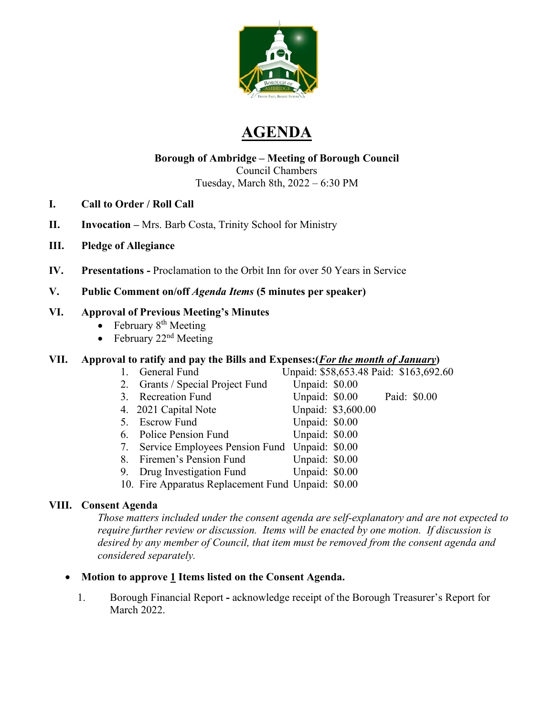

# **AGENDA**

# **Borough of Ambridge – Meeting of Borough Council** Council Chambers

Tuesday, March 8th, 2022 – 6:30 PM

- **I. Call to Order / Roll Call**
- **II. Invocation –** Mrs. Barb Costa, Trinity School for Ministry
- **III. Pledge of Allegiance**
- **IV. Presentations -** Proclamation to the Orbit Inn for over 50 Years in Service
- **V. Public Comment on/off** *Agenda Items* **(5 minutes per speaker)**

#### **VI. Approval of Previous Meeting's Minutes**

- February  $8<sup>th</sup>$  Meeting
- February  $22<sup>nd</sup>$  Meeting

#### **VII. Approval to ratify and pay the Bills and Expenses:(***For the month of January***)**

- 1. General Fund Unpaid: \$58,653.48 Paid: \$163,692.60
- 2. Grants / Special Project Fund Unpaid: \$0.00
	-
- 4. 2021 Capital Note Unpaid: \$3,600.00
- 5. Escrow Fund Unpaid: \$0.00
- 6. Police Pension Fund Unpaid: \$0.00
- 7. Service Employees Pension Fund Unpaid: \$0.00
- 8. Firemen's Pension Fund Unpaid: \$0.00
- 9. Drug Investigation Fund Unpaid: \$0.00
- 10. Fire Apparatus Replacement Fund Unpaid: \$0.00

#### **VIII. Consent Agenda**

*Those matters included under the consent agenda are self-explanatory and are not expected to require further review or discussion. Items will be enacted by one motion. If discussion is desired by any member of Council, that item must be removed from the consent agenda and considered separately.* 

- **Motion to approve 1 Items listed on the Consent Agenda.**
	- 1. Borough Financial Report **-** acknowledge receipt of the Borough Treasurer's Report for March 2022.
- 3. Recreation Fund Unpaid: \$0.00 Paid: \$0.00
	-
	-
	-
	- -
-